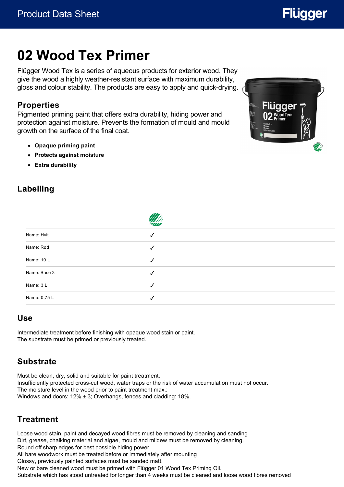# **02 Wood Tex Primer**

Flügger Wood Tex is a series of aqueous products for exterior wood. They give the wood a highly weather-resistant surface with maximum durability, gloss and colour stability. The products are easy to apply and quick-drying.

#### **Properties**

Pigmented priming paint that offers extra durability, hiding power and protection against moisture. Prevents the formation of mould and mould growth on the surface of the final coat.

- **Opaque priming paint**
- **Protects against moisture**
- **Extra durability**



**Flügger** 

## **Labelling**

| Name: Hvit                                        |              |
|---------------------------------------------------|--------------|
| Name: Rød                                         | ✓            |
| Name: 10 L                                        | $\checkmark$ |
| Name: Base 3                                      | √            |
| Name: 3L                                          | ✓            |
| Name: 0,75 L<br>the control of the control of the |              |
|                                                   |              |

 $\overline{AB}$ 

#### **Use**

Intermediate treatment before finishing with opaque wood stain or paint. The substrate must be primed or previously treated.

#### **Substrate**

Must be clean, dry, solid and suitable for paint treatment. Insufficiently protected cross-cut wood, water traps or the risk of water accumulation must not occur. The moisture level in the wood prior to paint treatment max.: Windows and doors: 12% ± 3; Overhangs, fences and cladding: 18%.

#### **Treatment**

Loose wood stain, paint and decayed wood fibres must be removed by cleaning and sanding Dirt, grease, chalking material and algae, mould and mildew must be removed by cleaning. Round off sharp edges for best possible hiding power All bare woodwork must be treated before or immediately after mounting Glossy, previously painted surfaces must be sanded matt. New or bare cleaned wood must be primed with Flügger 01 Wood Tex Priming Oil. Substrate which has stood untreated for longer than 4 weeks must be cleaned and loose wood fibres removed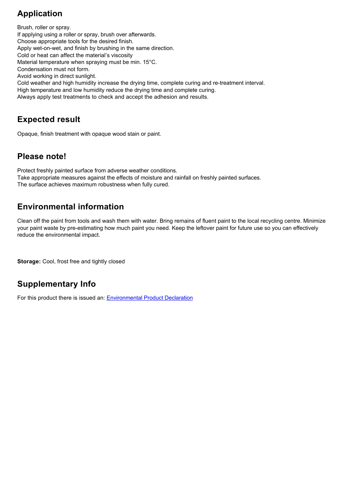#### **Application**

Brush, roller or spray. If applying using a roller or spray, brush over afterwards. Choose appropriate tools for the desired finish. Apply wet-on-wet, and finish by brushing in the same direction. Cold or heat can affect the material's viscosity Material temperature when spraying must be min. 15°C. Condensation must not form. Avoid working in direct sunlight. Cold weather and high humidity increase the drying time, complete curing and re-treatment interval. High temperature and low humidity reduce the drying time and complete curing. Always apply test treatments to check and accept the adhesion and results.

#### **Expected result**

Opaque, finish treatment with opaque wood stain or paint.

#### **Please note!**

Protect freshly painted surface from adverse weather conditions. Take appropriate measures against the effects of moisture and rainfall on freshly painted surfaces. The surface achieves maximum robustness when fully cured.

#### **Environmental information**

Clean off the paint from tools and wash them with water. Bring remains of fluent paint to the local recycling centre. Minimize your paint waste by pre-estimating how much paint you need. Keep the leftover paint for future use so you can effectively reduce the environmental impact.

**Storage:** Cool, frost free and tightly closed

## **Supplementary Info**

For this product there is issued an: [Environmental Product Declaration](https://www.environdec.com/library/epd3204)